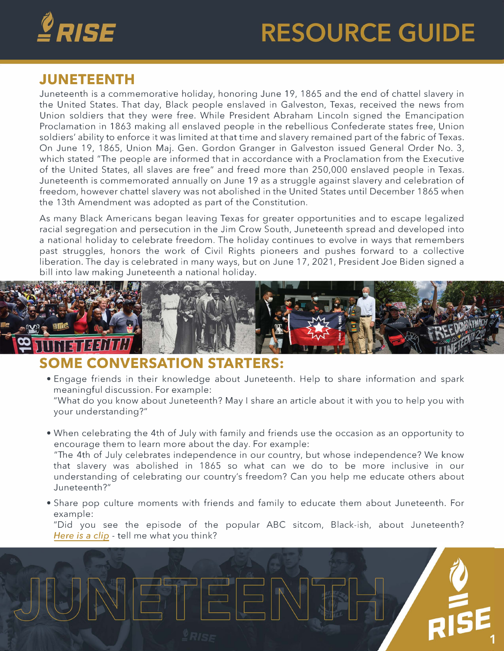

## **RESOURCE GUIDE**

## **JUNETEENTH**

Juneteenth is a commemorative holiday, honoring June 19, 1865 and the end of chattel slavery in the United States. That day, Black people enslaved in Galveston, Texas, received the news from Union soldiers that they were free. While President Abraham Lincoln signed the Emancipation Proclamation in 1863 making all enslaved people in the rebellious Confederate states free, Union soldiers' ability to enforce it was limited at that time and slavery remained part of the fabric of Texas. On June 19, 1865, Union Maj. Gen. Gordon Granger in Galveston issued General Order No. 3, which stated "The people are informed that in accordance with a Proclamation from the Executive of the United States, all slaves are free" and freed more than 250,000 enslaved people in Texas. Juneteenth is commemorated annually on June 19 as a struggle against slavery and celebration of freedom, however chattel slavery was not abolished in the United States until December 1865 when the 13th Amendment was adopted as part of the Constitution.

As many Black Americans began leaving Texas for greater opportunities and to escape legalized racial segregation and persecution in the Jim Crow South, Juneteenth spread and developed into a national holiday to celebrate freedom. The holiday continues to evolve in ways that remembers past struggles, honors the work of Civil Rights pioneers and pushes forward to a collective liberation. The day is celebrated in many ways, but on June 17, 2021, President Joe Biden signed a bill into law making Juneteenth a national holiday.



## **SOME CONVERSATION STARTERS:**

• Engage friends in their knowledge about Juneteenth. Help to share information and spark meaningful discussion. For example:

"What do you know about Juneteenth? May I share an article about it with you to help you with your understanding?"

• When celebrating the 4th of July with family and friends use the occasion as an opportunity to encourage them to learn more about the day. For example:

"The 4th of July celebrates independence in our country, but whose independence? We know that slavery was abolished in 1865 so what can we do to be more inclusive in our understanding of celebrating our country's freedom? Can you help me educate others about Juneteenth?"

• Share pop culture moments with friends and family to educate them about Juneteenth. For example:

"Did you see the episode of the popular ABC sitcom, Black-ish, about Juneteenth? *[Here is a clip](https://www.youtube.com/watch?v=uy0ikqpoYNU)* - tell me what you think?